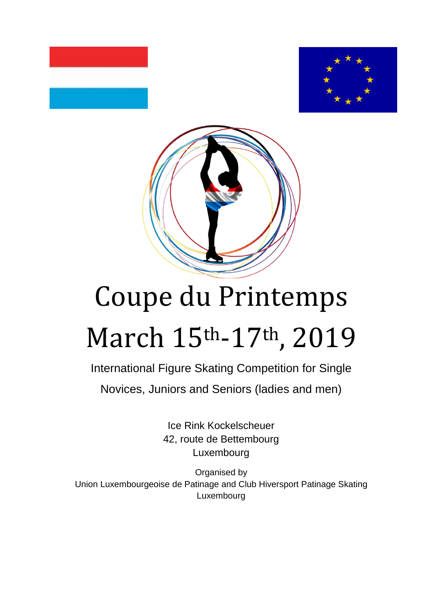



# Coupe du Printemps March 15th-17th, 2019

International Figure Skating Competition for Single Novices, Juniors and Seniors (ladies and men)

> Ice Rink Kockelscheuer 42, route de Bettembourg Luxembourg

Organised by Union Luxembourgeoise de Patinage and Club Hiversport Patinage Skating Luxembourg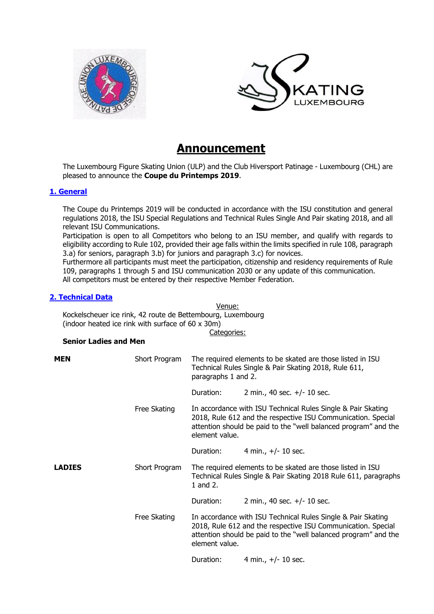



## **Announcement**

The Luxembourg Figure Skating Union (ULP) and the Club Hiversport Patinage - Luxembourg (CHL) are pleased to announce the **Coupe du Printemps 2019**.

#### **1. General**

The Coupe du Printemps 2019 will be conducted in accordance with the ISU constitution and general regulations 2018, the ISU Special Regulations and Technical Rules Single And Pair skating 2018, and all relevant ISU Communications.

Participation is open to all Competitors who belong to an ISU member, and qualify with regards to eligibility according to Rule 102, provided their age falls within the limits specified in rule 108, paragraph 3.a) for seniors, paragraph 3.b) for juniors and paragraph 3.c) for novices.

Furthermore all participants must meet the participation, citizenship and residency requirements of Rule 109, paragraphs 1 through 5 and ISU communication 2030 or any update of this communication. All competitors must be entered by their respective Member Federation.

#### **2. Technical Data**

Venue:

Kockelscheuer ice rink, 42 route de Bettembourg, Luxembourg

(indoor heated ice rink with surface of 60 x 30m)

Categories:

#### **Senior Ladies and Men**

| <b>MEN</b>    | Short Program | The required elements to be skated are those listed in ISU<br>Technical Rules Single & Pair Skating 2018, Rule 611,<br>paragraphs 1 and 2.                                                                        |                               |
|---------------|---------------|-------------------------------------------------------------------------------------------------------------------------------------------------------------------------------------------------------------------|-------------------------------|
|               |               | Duration:                                                                                                                                                                                                         | 2 min., 40 sec. $+/- 10$ sec. |
|               | Free Skating  | In accordance with ISU Technical Rules Single & Pair Skating<br>2018, Rule 612 and the respective ISU Communication. Special<br>attention should be paid to the "well balanced program" and the<br>element value. |                               |
|               |               | Duration:                                                                                                                                                                                                         | 4 min., $+/- 10$ sec.         |
| <b>LADIES</b> | Short Program | The required elements to be skated are those listed in ISU<br>Technical Rules Single & Pair Skating 2018 Rule 611, paragraphs<br>1 and 2.                                                                         |                               |
|               |               | Duration:                                                                                                                                                                                                         | 2 min., 40 sec. $+/- 10$ sec. |
|               | Free Skating  | In accordance with ISU Technical Rules Single & Pair Skating<br>2018, Rule 612 and the respective ISU Communication. Special<br>attention should be paid to the "well balanced program" and the<br>element value. |                               |
|               |               | Duration:                                                                                                                                                                                                         | 4 min., $+/- 10$ sec.         |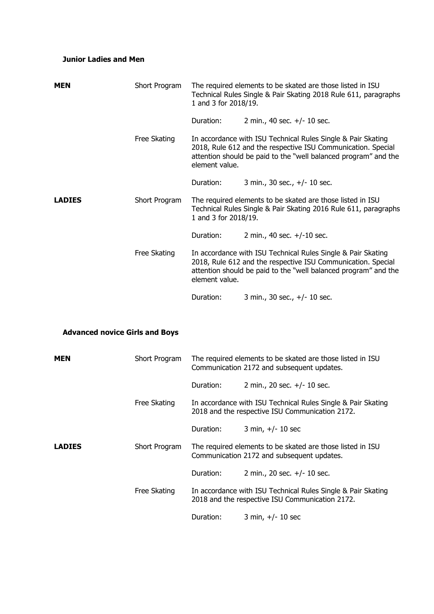### **Junior Ladies and Men**

| <b>MEN</b>                            | Short Program | The required elements to be skated are those listed in ISU<br>Technical Rules Single & Pair Skating 2018 Rule 611, paragraphs<br>1 and 3 for 2018/19. |                                                                                                                                                                                                 |  |
|---------------------------------------|---------------|-------------------------------------------------------------------------------------------------------------------------------------------------------|-------------------------------------------------------------------------------------------------------------------------------------------------------------------------------------------------|--|
|                                       |               | Duration:                                                                                                                                             | 2 min., 40 sec. +/- 10 sec.                                                                                                                                                                     |  |
|                                       | Free Skating  | element value.                                                                                                                                        | In accordance with ISU Technical Rules Single & Pair Skating<br>2018, Rule 612 and the respective ISU Communication. Special<br>attention should be paid to the "well balanced program" and the |  |
|                                       |               | Duration:                                                                                                                                             | 3 min., 30 sec., +/- 10 sec.                                                                                                                                                                    |  |
| <b>LADIES</b>                         | Short Program | The required elements to be skated are those listed in ISU<br>Technical Rules Single & Pair Skating 2016 Rule 611, paragraphs<br>1 and 3 for 2018/19. |                                                                                                                                                                                                 |  |
|                                       |               | Duration:                                                                                                                                             | 2 min., 40 sec. $+/-10$ sec.                                                                                                                                                                    |  |
|                                       | Free Skating  | element value.                                                                                                                                        | In accordance with ISU Technical Rules Single & Pair Skating<br>2018, Rule 612 and the respective ISU Communication. Special<br>attention should be paid to the "well balanced program" and the |  |
|                                       |               | Duration:                                                                                                                                             | 3 min., 30 sec., +/- 10 sec.                                                                                                                                                                    |  |
|                                       |               |                                                                                                                                                       |                                                                                                                                                                                                 |  |
| <b>Advanced novice Girls and Boys</b> |               |                                                                                                                                                       |                                                                                                                                                                                                 |  |
| MEN                                   | Short Program |                                                                                                                                                       | The required elements to be skated are those listed in ISU<br>Communication 2172 and subsequent updates.                                                                                        |  |
|                                       |               | Duration:                                                                                                                                             | 2 min., 20 sec. +/- 10 sec.                                                                                                                                                                     |  |
|                                       | Free Skating  | In accordance with ISU Technical Rules Single & Pair Skating<br>2018 and the respective ISU Communication 2172.                                       |                                                                                                                                                                                                 |  |
|                                       |               | Duration:                                                                                                                                             | 3 min, $+/- 10$ sec                                                                                                                                                                             |  |
| <b>LADIES</b>                         | Short Program |                                                                                                                                                       | The required elements to be skated are those listed in ISU<br>Communication 2172 and subsequent updates.                                                                                        |  |
|                                       |               | Duration:                                                                                                                                             | 2 min., 20 sec. +/- 10 sec.                                                                                                                                                                     |  |
|                                       | Free Skating  | In accordance with ISU Technical Rules Single & Pair Skating<br>2018 and the respective ISU Communication 2172.                                       |                                                                                                                                                                                                 |  |
|                                       |               | Duration:                                                                                                                                             | 3 min, $+/- 10$ sec                                                                                                                                                                             |  |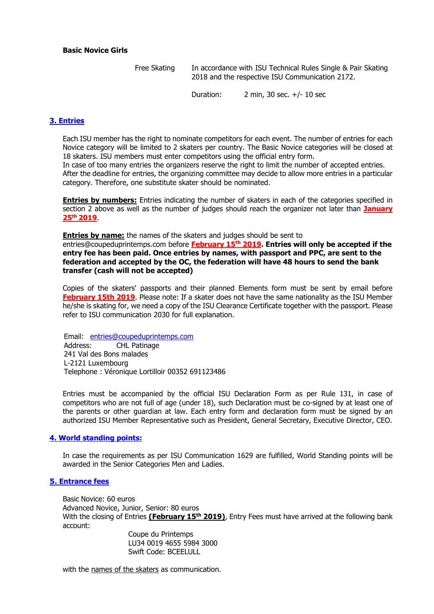#### **Basic Novice Girls**

Free Skating In accordance with ISU Technical Rules Single & Pair Skating 2018 and the respective ISU Communication 2172.

Duration: 2 min, 30 sec. +/- 10 sec

#### **3. Entries**

Each ISU member has the right to nominate competitors for each event. The number of entries for each Novice category will be limited to 2 skaters per country. The Basic Novice categories will be closed at 18 skaters. ISU members must enter competitors using the official entry form.

In case of too many entries the organizers reserve the right to limit the number of accepted entries. After the deadline for entries, the organizing committee may decide to allow more entries in a particular category. Therefore, one substitute skater should be nominated.

**Entries by numbers:** Entries indicating the number of skaters in each of the categories specified in section 2 above as well as the number of judges should reach the organizer not later than **January 25th 2019**.

**Entries by name:** the names of the skaters and judges should be sent to

entries@coupeduprintemps.com before **February 15th 2019. Entries will only be accepted if the entry fee has been paid. Once entries by names, with passport and PPC, are sent to the federation and accepted by the OC, the federation will have 48 hours to send the bank transfer (cash will not be accepted)**

Copies of the skaters' passports and their planned Elements form must be sent by email before **February 15th 2019**. Please note: If a skater does not have the same nationality as the ISU Member he/she is skating for, we need a copy of the ISU Clearance Certificate together with the passport. Please refer to ISU communication 2030 for full explanation.

Email: entries@coupeduprintemps.com Address: CHL Patinage 241 Val des Bons malades L-2121 Luxembourg Telephone : Véronique Lortilloir 00352 691123486

Entries must be accompanied by the official ISU Declaration Form as per Rule 131, in case of competitors who are not full of age (under 18), such Declaration must be co-signed by at least one of the parents or other guardian at law. Each entry form and declaration form must be signed by an authorized ISU Member Representative such as President, General Secretary, Executive Director, CEO.

#### **4. World standing points:**

In case the requirements as per ISU Communication 1629 are fulfilled, World Standing points will be awarded in the Senior Categories Men and Ladies.

#### **5. Entrance fees**

Basic Novice: 60 euros Advanced Novice, Junior, Senior: 80 euros With the closing of Entries **(February 15 th 2019)**, Entry Fees must have arrived at the following bank account:

Coupe du Printemps LU34 0019 4655 5984 3000 Swift Code: BCEELULL

with the names of the skaters as communication.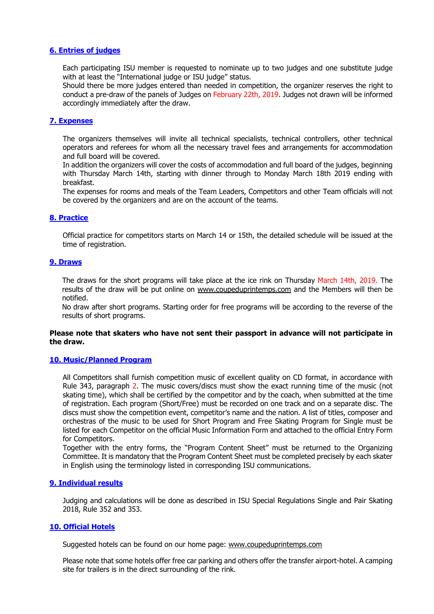#### **6. Entries of judges**

Each participating ISU member is requested to nominate up to two judges and one substitute judge with at least the "International judge or ISU judge" status.

Should there be more judges entered than needed in competition, the organizer reserves the right to conduct a pre-draw of the panels of Judges on February 22th, 2019. Judges not drawn will be informed accordingly immediately after the draw.

#### **7. Expenses**

The organizers themselves will invite all technical specialists, technical controllers, other technical operators and referees for whom all the necessary travel fees and arrangements for accommodation and full board will be covered.

In addition the organizers will cover the costs of accommodation and full board of the judges, beginning with Thursday March 14th, starting with dinner through to Monday March 18th 2019 ending with breakfast.

The expenses for rooms and meals of the Team Leaders, Competitors and other Team officials will not be covered by the organizers and are on the account of the teams.

#### **8. Practice**

Official practice for competitors starts on March 14 or 15th, the detailed schedule will be issued at the time of registration.

#### **9. Draws**

The draws for the short programs will take place at the ice rink on Thursday March 14th, 2019. The results of the draw will be put online on www.coupeduprintemps.com and the Members will then be notified.

No draw after short programs. Starting order for free programs will be according to the reverse of the results of short programs.

#### **Please note that skaters who have not sent their passport in advance will not participate in the draw.**

#### **10. Music/Planned Program**

All Competitors shall furnish competition music of excellent quality on CD format, in accordance with Rule 343, paragraph 2. The music covers/discs must show the exact running time of the music (not skating time), which shall be certified by the competitor and by the coach, when submitted at the time of registration. Each program (Short/Free) must be recorded on one track and on a separate disc. The discs must show the competition event, competitor's name and the nation. A list of titles, composer and orchestras of the music to be used for Short Program and Free Skating Program for Single must be listed for each Competitor on the official Music Information Form and attached to the official Entry Form for Competitors.

Together with the entry forms, the "Program Content Sheet" must be returned to the Organizing Committee. It is mandatory that the Program Content Sheet must be completed precisely by each skater in English using the terminology listed in corresponding ISU communications.

#### **9. Individual results**

Judging and calculations will be done as described in ISU Special Regulations Single and Pair Skating 2018, Rule 352 and 353.

#### **10. Official Hotels**

Suggested hotels can be found on our home page: www.coupeduprintemps.com

Please note that some hotels offer free car parking and others offer the transfer airport-hotel. A camping site for trailers is in the direct surrounding of the rink.